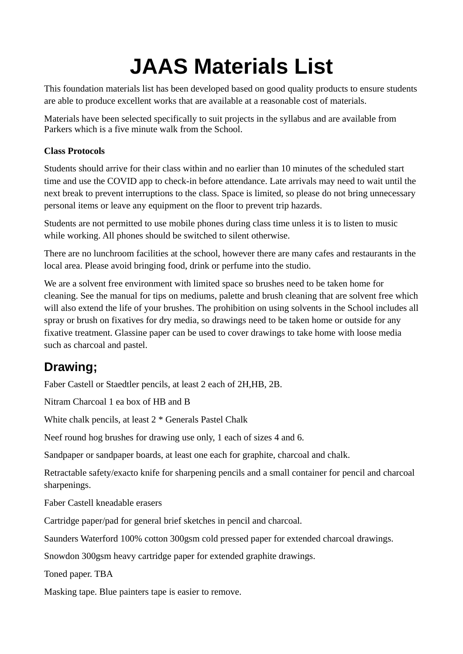# **JAAS Materials List**

This foundation materials list has been developed based on good quality products to ensure students are able to produce excellent works that are available at a reasonable cost of materials.

Materials have been selected specifically to suit projects in the syllabus and are available from Parkers which is a five minute walk from the School.

#### **Class Protocols**

Students should arrive for their class within and no earlier than 10 minutes of the scheduled start time and use the COVID app to check-in before attendance. Late arrivals may need to wait until the next break to prevent interruptions to the class. Space is limited, so please do not bring unnecessary personal items or leave any equipment on the floor to prevent trip hazards.

Students are not permitted to use mobile phones during class time unless it is to listen to music while working. All phones should be switched to silent otherwise.

There are no lunchroom facilities at the school, however there are many cafes and restaurants in the local area. Please avoid bringing food, drink or perfume into the studio.

We are a solvent free environment with limited space so brushes need to be taken home for cleaning. See the manual for tips on mediums, palette and brush cleaning that are solvent free which will also extend the life of your brushes. The prohibition on using solvents in the School includes all spray or brush on fixatives for dry media, so drawings need to be taken home or outside for any fixative treatment. Glassine paper can be used to cover drawings to take home with loose media such as charcoal and pastel.

# **Drawing;**

Faber Castell or Staedtler pencils, at least 2 each of 2H,HB, 2B.

Nitram Charcoal 1 ea box of HB and B

White chalk pencils, at least 2 \* Generals Pastel Chalk

Neef round hog brushes for drawing use only, 1 each of sizes 4 and 6.

Sandpaper or sandpaper boards, at least one each for graphite, charcoal and chalk.

Retractable safety/exacto knife for sharpening pencils and a small container for pencil and charcoal sharpenings.

Faber Castell kneadable erasers

Cartridge paper/pad for general brief sketches in pencil and charcoal.

Saunders Waterford 100% cotton 300gsm cold pressed paper for extended charcoal drawings.

Snowdon 300gsm heavy cartridge paper for extended graphite drawings.

Toned paper. TBA

Masking tape. Blue painters tape is easier to remove.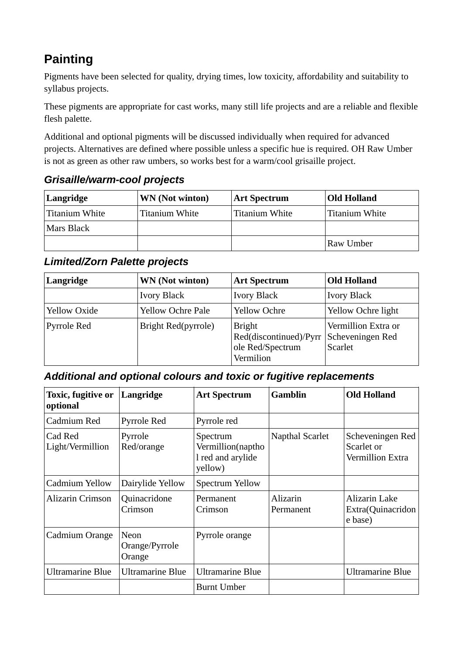# **Painting**

Pigments have been selected for quality, drying times, low toxicity, affordability and suitability to syllabus projects.

These pigments are appropriate for cast works, many still life projects and are a reliable and flexible flesh palette.

Additional and optional pigments will be discussed individually when required for advanced projects. Alternatives are defined where possible unless a specific hue is required. OH Raw Umber is not as green as other raw umbers, so works best for a warm/cool grisaille project.

| Langridge      | WN (Not winton) | <b>Art Spectrum</b> | <b>Old Holland</b> |
|----------------|-----------------|---------------------|--------------------|
| Titanium White | Titanium White  | Titanium White      | Titanium White     |
| Mars Black     |                 |                     |                    |
|                |                 |                     | Raw Umber          |

#### *Grisaille/warm-cool projects*

### *Limited/Zorn Palette projects*

| Langridge           | <b>WN</b> (Not winton)<br><b>Art Spectrum</b> |                                                                          | <b>Old Holland</b>                                        |  |
|---------------------|-----------------------------------------------|--------------------------------------------------------------------------|-----------------------------------------------------------|--|
|                     | <b>Ivory Black</b>                            | <b>Ivory Black</b>                                                       | <b>Ivory Black</b>                                        |  |
| <b>Yellow Oxide</b> | <b>Yellow Ochre Pale</b>                      | <b>Yellow Ochre</b>                                                      | Yellow Ochre light                                        |  |
| Pyrrole Red         | Bright Red(pyrrole)                           | <b>Bright</b><br>Red(discontinued)/Pyrr<br>ole Red/Spectrum<br>Vermilion | Vermillion Extra or<br>Scheveningen Red<br><b>Scarlet</b> |  |

#### *Additional and optional colours and toxic or fugitive replacements*

| Toxic, fugitive or<br>optional | Langridge                        | <b>Art Spectrum</b>                                           | <b>Gamblin</b>        | <b>Old Holland</b>                                 |
|--------------------------------|----------------------------------|---------------------------------------------------------------|-----------------------|----------------------------------------------------|
| Cadmium Red                    | <b>Pyrrole Red</b>               | Pyrrole red                                                   |                       |                                                    |
| Cad Red<br>Light/Vermillion    | Pyrrole<br>Red/orange            | Spectrum<br>Vermillion(naptho<br>I red and arylide<br>yellow) | Napthal Scarlet       | Scheveningen Red<br>Scarlet or<br>Vermillion Extra |
| Cadmium Yellow                 | Dairylide Yellow                 | <b>Spectrum Yellow</b>                                        |                       |                                                    |
| <b>Alizarin Crimson</b>        | Quinacridone<br>Crimson          | Permanent<br>Crimson                                          | Alizarin<br>Permanent | Alizarin Lake<br>Extra(Quinacridon<br>e base)      |
| Cadmium Orange                 | Neon<br>Orange/Pyrrole<br>Orange | Pyrrole orange                                                |                       |                                                    |
| <b>Ultramarine Blue</b>        | <b>Ultramarine Blue</b>          | <b>Ultramarine Blue</b>                                       |                       | <b>Ultramarine Blue</b>                            |
|                                |                                  | <b>Burnt Umber</b>                                            |                       |                                                    |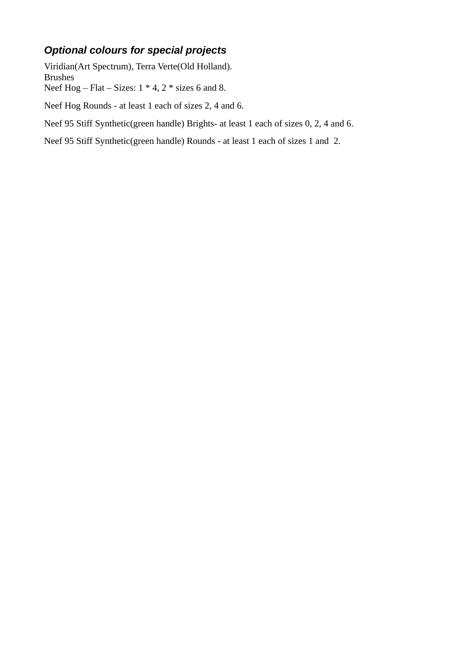## *Optional colours for special projects*

Viridian(Art Spectrum), Terra Verte(Old Holland). Brushes Neef Hog – Flat – Sizes:  $1 * 4$ ,  $2 *$  sizes 6 and 8.

Neef Hog Rounds - at least 1 each of sizes 2, 4 and 6.

Neef 95 Stiff Synthetic(green handle) Brights- at least 1 each of sizes 0, 2, 4 and 6.

Neef 95 Stiff Synthetic(green handle) Rounds - at least 1 each of sizes 1 and 2.